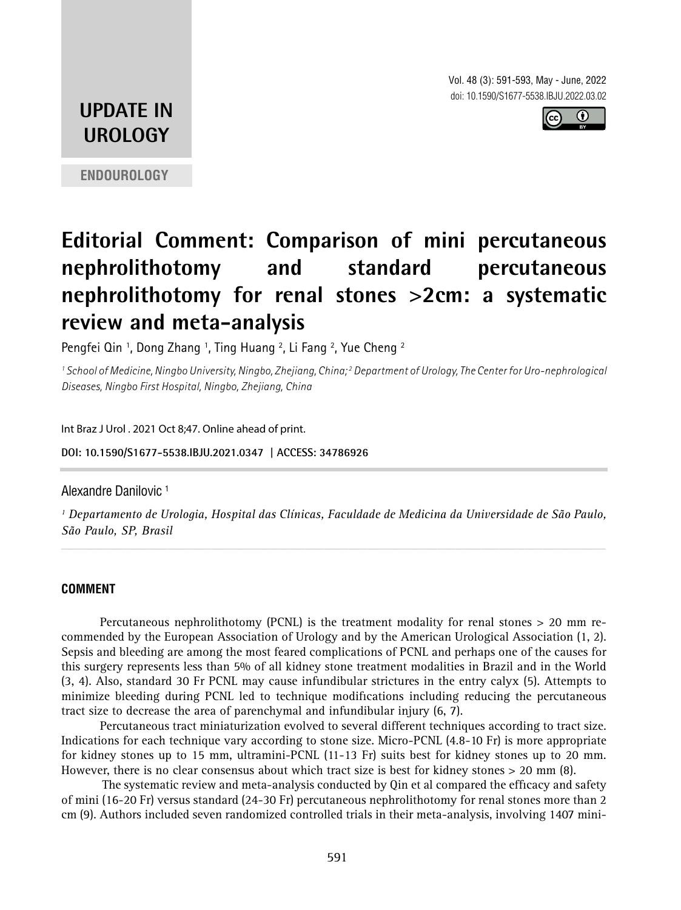Vol. 48 (3): 591-593, May - June, 2022 doi: 10.1590/S1677-5538.IBJU.2022.03.02



# **UPDATE IN UROLOGY**

**ENDOUROLOGY**

# **Editorial Comment: Comparison of mini percutaneous nephrolithotomy and standard percutaneous nephrolithotomy for renal stones >2cm: a systematic review and meta-analysis**

Pengfei Qin 1, Dong Zhang 1, Ting Huang 2, Li Fang 2, Yue Cheng 2

*1 School of Medicine, Ningbo University, Ningbo, Zhejiang, China; 2 Department of Urology, The Center for Uro-nephrological Diseases, Ningbo First Hospital, Ningbo, Zhejiang, China*

Int Braz J Urol . 2021 Oct 8;47. Online ahead of print.

**DOI: 10.1590/S1677-5538.IBJU.2021.0347 | ACCESS: 34786926 \_\_\_\_\_\_\_\_\_\_\_\_\_\_\_\_\_\_\_\_\_\_\_\_\_\_\_\_\_\_\_\_\_\_\_\_\_\_\_\_\_\_\_\_\_**

### Alexandre Danilovic 1

*1 Departamento de Urologia, Hospital das Clínicas, Faculdade de Medicina da Universidade de São Paulo, São Paulo, SP, Brasil \_\_\_\_\_\_\_\_\_\_\_\_\_\_\_\_\_\_\_\_\_\_\_\_\_\_\_\_\_\_\_\_\_\_\_\_\_\_\_\_\_\_\_\_\_\_\_\_\_\_\_\_\_\_\_\_\_\_\_\_\_\_\_\_\_\_\_\_\_\_\_\_\_\_\_\_\_\_\_\_\_\_\_\_\_\_\_*

# **COMMENT**

Percutaneous nephrolithotomy (PCNL) is the treatment modality for renal stones > 20 mm recommended by the European Association of Urology and by the American Urological Association (1, 2). Sepsis and bleeding are among the most feared complications of PCNL and perhaps one of the causes for this surgery represents less than 5% of all kidney stone treatment modalities in Brazil and in the World (3, 4). Also, standard 30 Fr PCNL may cause infundibular strictures in the entry calyx (5). Attempts to minimize bleeding during PCNL led to technique modifications including reducing the percutaneous tract size to decrease the area of parenchymal and infundibular injury (6, 7).

Percutaneous tract miniaturization evolved to several different techniques according to tract size. Indications for each technique vary according to stone size. Micro-PCNL (4.8-10 Fr) is more appropriate for kidney stones up to 15 mm, ultramini-PCNL (11-13 Fr) suits best for kidney stones up to 20 mm. However, there is no clear consensus about which tract size is best for kidney stones  $> 20$  mm  $(8)$ .

The systematic review and meta-analysis conducted by Qin et al compared the efficacy and safety of mini (16-20 Fr) versus standard (24-30 Fr) percutaneous nephrolithotomy for renal stones more than 2 cm (9). Authors included seven randomized controlled trials in their meta-analysis, involving 1407 mini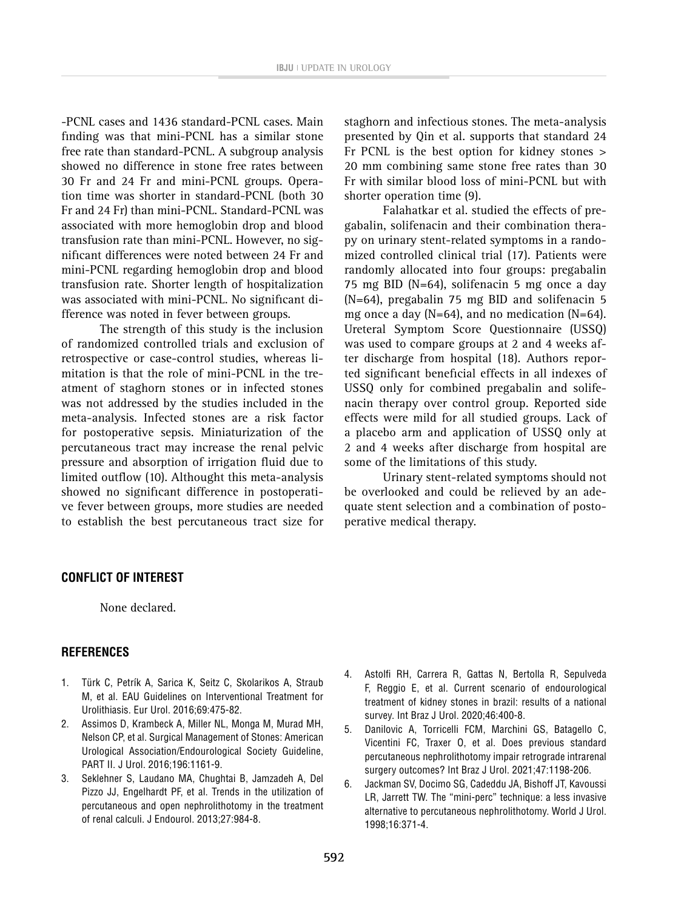-PCNL cases and 1436 standard-PCNL cases. Main finding was that mini-PCNL has a similar stone free rate than standard-PCNL. A subgroup analysis showed no difference in stone free rates between 30 Fr and 24 Fr and mini-PCNL groups. Operation time was shorter in standard-PCNL (both 30 Fr and 24 Fr) than mini-PCNL. Standard-PCNL was associated with more hemoglobin drop and blood transfusion rate than mini-PCNL. However, no significant differences were noted between 24 Fr and mini-PCNL regarding hemoglobin drop and blood transfusion rate. Shorter length of hospitalization was associated with mini-PCNL. No significant difference was noted in fever between groups.

The strength of this study is the inclusion of randomized controlled trials and exclusion of retrospective or case-control studies, whereas limitation is that the role of mini-PCNL in the treatment of staghorn stones or in infected stones was not addressed by the studies included in the meta-analysis. Infected stones are a risk factor for postoperative sepsis. Miniaturization of the percutaneous tract may increase the renal pelvic pressure and absorption of irrigation fluid due to limited outflow (10). Althought this meta-analysis showed no significant difference in postoperative fever between groups, more studies are needed to establish the best percutaneous tract size for staghorn and infectious stones. The meta-analysis presented by Qin et al. supports that standard 24 Fr PCNL is the best option for kidney stones > 20 mm combining same stone free rates than 30 Fr with similar blood loss of mini-PCNL but with shorter operation time (9).

Falahatkar et al. studied the effects of pregabalin, solifenacin and their combination therapy on urinary stent-related symptoms in a randomized controlled clinical trial (17). Patients were randomly allocated into four groups: pregabalin 75 mg BID (N=64), solifenacin 5 mg once a day (N=64), pregabalin 75 mg BID and solifenacin 5 mg once a day  $(N=64)$ , and no medication  $(N=64)$ . Ureteral Symptom Score Questionnaire (USSQ) was used to compare groups at 2 and 4 weeks after discharge from hospital (18). Authors reported significant beneficial effects in all indexes of USSQ only for combined pregabalin and solifenacin therapy over control group. Reported side effects were mild for all studied groups. Lack of a placebo arm and application of USSQ only at 2 and 4 weeks after discharge from hospital are some of the limitations of this study.

Urinary stent-related symptoms should not be overlooked and could be relieved by an adequate stent selection and a combination of postoperative medical therapy.

#### **CONFLICT OF INTEREST**

None declared.

#### **REFERENCES**

- 1. Türk C, Petrík A, Sarica K, Seitz C, Skolarikos A, Straub M, et al. EAU Guidelines on Interventional Treatment for Urolithiasis. Eur Urol. 2016;69:475-82.
- 2. Assimos D, Krambeck A, Miller NL, Monga M, Murad MH, Nelson CP, et al. Surgical Management of Stones: American Urological Association/Endourological Society Guideline, PART II. J Urol. 2016;196:1161-9.
- 3. Seklehner S, Laudano MA, Chughtai B, Jamzadeh A, Del Pizzo JJ, Engelhardt PF, et al. Trends in the utilization of percutaneous and open nephrolithotomy in the treatment of renal calculi. J Endourol. 2013;27:984-8.
- 4. Astolfi RH, Carrera R, Gattas N, Bertolla R, Sepulveda F, Reggio E, et al. Current scenario of endourological treatment of kidney stones in brazil: results of a national survey. Int Braz J Urol. 2020;46:400-8.
- 5. Danilovic A, Torricelli FCM, Marchini GS, Batagello C, Vicentini FC, Traxer O, et al. Does previous standard percutaneous nephrolithotomy impair retrograde intrarenal surgery outcomes? Int Braz J Urol. 2021;47:1198-206.
- 6. Jackman SV, Docimo SG, Cadeddu JA, Bishoff JT, Kavoussi LR, Jarrett TW. The "mini-perc" technique: a less invasive alternative to percutaneous nephrolithotomy. World J Urol. 1998;16:371-4.